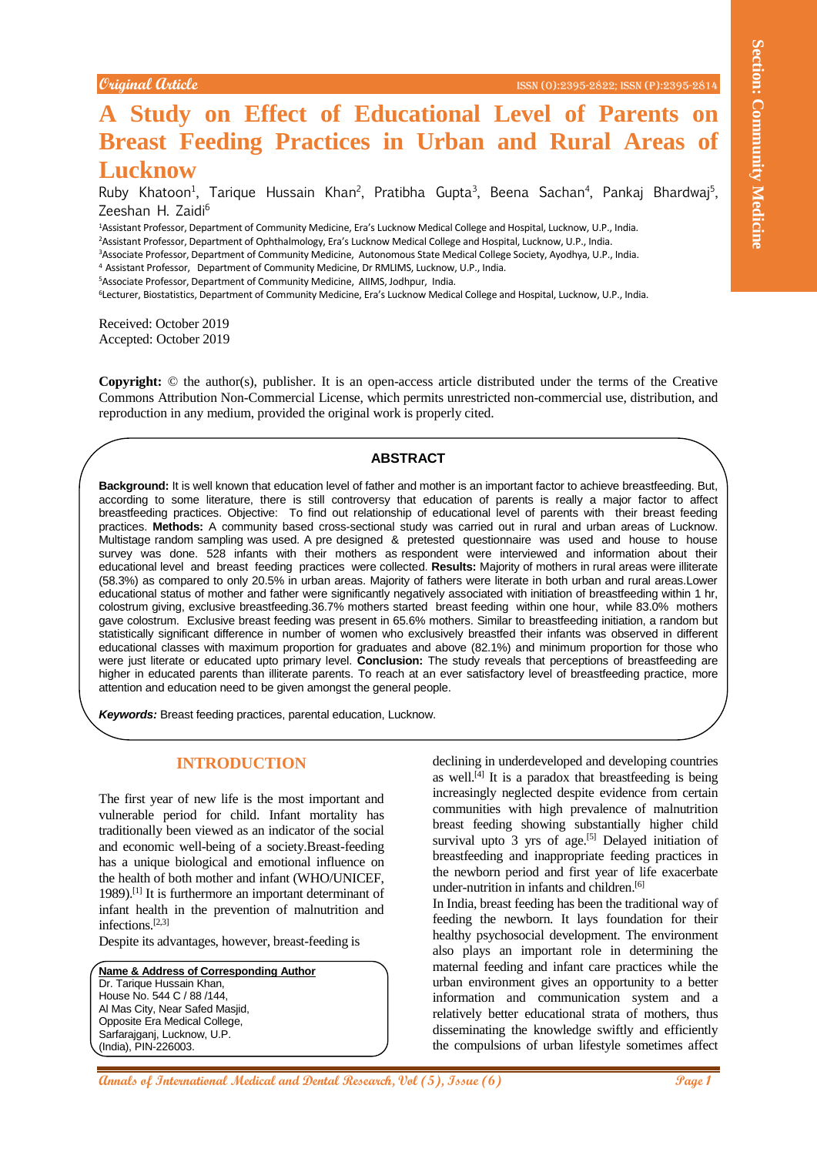# **A Study on Effect of Educational Level of Parents on Breast Feeding Practices in Urban and Rural Areas of Lucknow**

Ruby Khatoon<sup>1</sup>, Tarique Hussain Khan<sup>2</sup>, Pratibha Gupta<sup>3</sup>, Beena Sachan<sup>4</sup>, Pankaj Bhardwaj<sup>5</sup>, Zeeshan H. Zaidi<sup>6</sup>

<sup>1</sup>Assistant Professor, Department of Community Medicine, Era's Lucknow Medical College and Hospital, Lucknow, U.P., India.

<sup>2</sup>Assistant Professor, Department of Ophthalmology, Era's Lucknow Medical College and Hospital, Lucknow, U.P., India.

<sup>3</sup>Associate Professor, Department of Community Medicine, Autonomous State Medical College Society, Ayodhya, U.P., India.

<sup>4</sup> Assistant Professor, Department of Community Medicine, Dr RMLIMS, Lucknow, U.P., India.

<sup>5</sup>Associate Professor, Department of Community Medicine, AIIMS, Jodhpur, India.

<sup>6</sup>Lecturer, Biostatistics, Department of Community Medicine, Era's Lucknow Medical College and Hospital, Lucknow, U.P., India.

Received: October 2019 Accepted: October 2019

**Copyright:** © the author(s), publisher. It is an open-access article distributed under the terms of the Creative Commons Attribution Non-Commercial License, which permits unrestricted non-commercial use, distribution, and reproduction in any medium, provided the original work is properly cited.

# **ABSTRACT**

**Annals of Community Conservation Community Community Community Community Community Community Community Community Community Community Community Community Community Community Community Community Community Community Communit Background:** It is well known that education level of father and mother is an important factor to achieve breastfeeding. But, according to some literature, there is still controversy that education of parents is really a major factor to affect breastfeeding practices. Objective: To find out relationship of educational level of parents with their breast feeding practices. **Methods:** A community based cross-sectional study was carried out in rural and urban areas of Lucknow. Multistage random sampling was used. A pre designed & pretested questionnaire was used and house to house survey was done. 528 infants with their mothers as respondent were interviewed and information about their educational level and breast feeding practices were collected. **Results:** Majority of mothers in rural areas were illiterate (58.3%) as compared to only 20.5% in urban areas. Majority of fathers were literate in both urban and rural areas.Lower educational status of mother and father were significantly negatively associated with initiation of breastfeeding within 1 hr, colostrum giving, exclusive breastfeeding.36.7% mothers started breast feeding within one hour, while 83.0% mothers gave colostrum. Exclusive breast feeding was present in 65.6% mothers. Similar to breastfeeding initiation, a random but statistically significant difference in number of women who exclusively breastfed their infants was observed in different educational classes with maximum proportion for graduates and above (82.1%) and minimum proportion for those who were just literate or educated upto primary level. **Conclusion:** The study reveals that perceptions of breastfeeding are higher in educated parents than illiterate parents. To reach at an ever satisfactory level of breastfeeding practice, more attention and education need to be given amongst the general people.

*Keywords:* Breast feeding practices, parental education, Lucknow.

## **INTRODUCTION**

The first year of new life is the most important and vulnerable period for child. Infant mortality has traditionally been viewed as an indicator of the social and economic well-being of a society.Breast-feeding has a unique biological and emotional influence on the health of both mother and infant (WHO/UNICEF, 1989). [1] It is furthermore an important determinant of infant health in the prevention of malnutrition and infections. [2,3]

Despite its advantages, however, breast-feeding is

#### **Name & Address of Corresponding Author** Dr. Tarique Hussain Khan, House No. 544 C / 88 /144, Al Mas City, Near Safed Masjid, Opposite Era Medical College, Sarfarajganj, Lucknow, U.P. (India), PIN-226003.

declining in underdeveloped and developing countries as well. [4] It is a paradox that breastfeeding is being increasingly neglected despite evidence from certain communities with high prevalence of malnutrition breast feeding showing substantially higher child survival upto 3 yrs of age.<sup>[5]</sup> Delayed initiation of breastfeeding and inappropriate feeding practices in the newborn period and first year of life exacerbate under-nutrition in infants and children. [6]

In India, breast feeding has been the traditional way of feeding the newborn. It lays foundation for their healthy psychosocial development. The environment also plays an important role in determining the maternal feeding and infant care practices while the urban environment gives an opportunity to a better information and communication system and a relatively better educational strata of mothers, thus disseminating the knowledge swiftly and efficiently the compulsions of urban lifestyle sometimes affect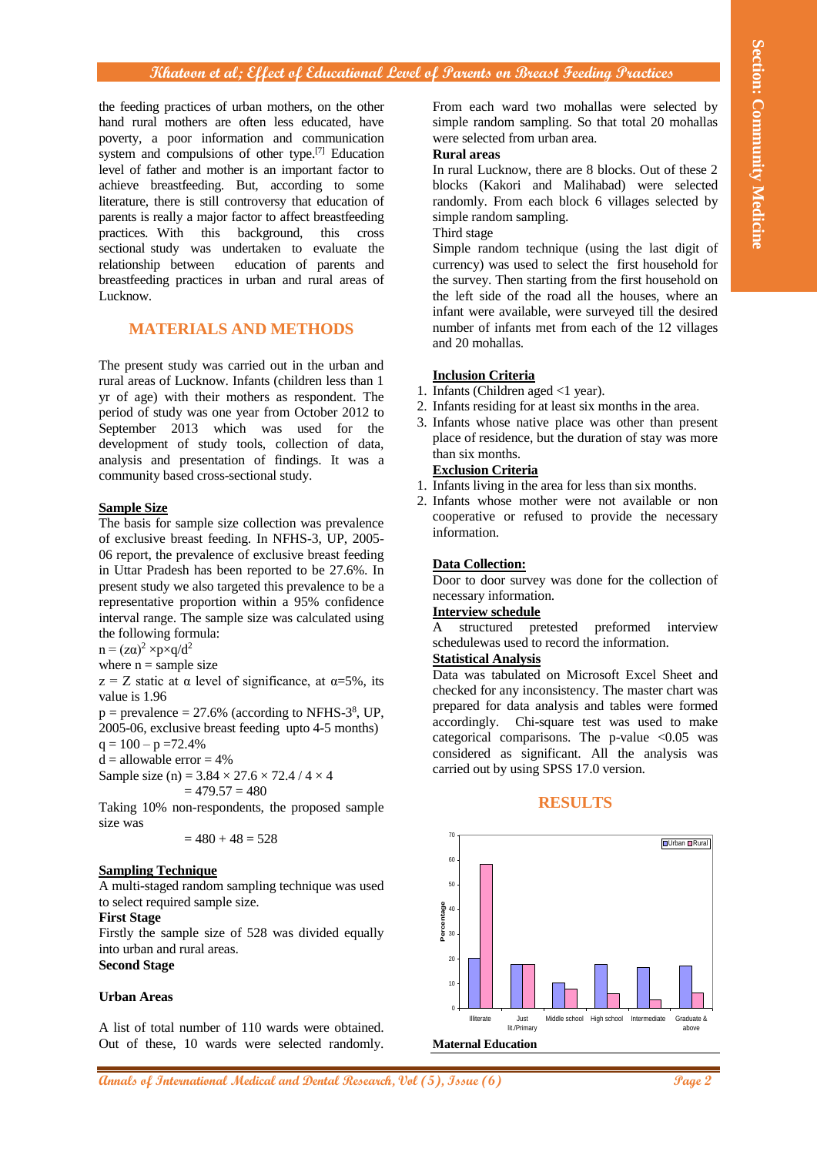## **Khatoon et al; Effect of Educational Level of Parents on Breast Feeding Practices**

the feeding practices of urban mothers, on the other hand rural mothers are often less educated, have poverty, a poor information and communication system and compulsions of other type.<sup>[7]</sup> Education level of father and mother is an important factor to achieve breastfeeding. But, according to some literature, there is still controversy that education of parents is really a major factor to affect breastfeeding practices. With this background, this cross sectional study was undertaken to evaluate the relationship between education of parents and breastfeeding practices in urban and rural areas of Lucknow.

# **MATERIALS AND METHODS**

The present study was carried out in the urban and rural areas of Lucknow. Infants (children less than 1 yr of age) with their mothers as respondent. The period of study was one year from October 2012 to September 2013 which was used for the development of study tools, collection of data, analysis and presentation of findings. It was a community based cross-sectional study.

#### **Sample Size**

The basis for sample size collection was prevalence of exclusive breast feeding. In NFHS-3, UP, 2005- 06 report, the prevalence of exclusive breast feeding in Uttar Pradesh has been reported to be 27.6%. In present study we also targeted this prevalence to be a representative proportion within a 95% confidence interval range. The sample size was calculated using the following formula:

 $n = (z\alpha)^2 \times p \times q/d^2$ 

where  $n =$  sample size

 $z = Z$  static at  $\alpha$  level of significance, at  $\alpha = 5\%$ , its value is 1.96

 $p =$  prevalence  $= 27.6\%$  (according to NFHS-3<sup>8</sup>, UP, 2005-06, exclusive breast feeding upto 4-5 months)

 $q = 100 - p = 72.4\%$ 

 $d =$  allowable error  $= 4\%$ 

Sample size (n) =  $3.84 \times 27.6 \times 72.4 / 4 \times 4$ 

$$
= 479.57 = 480
$$

Taking 10% non-respondents, the proposed sample size was

$$
=480+48=528
$$

#### **Sampling Technique**

A multi-staged random sampling technique was used to select required sample size.

#### **First Stage**

Firstly the sample size of 528 was divided equally into urban and rural areas. **Second Stage**

#### **Urban Areas**

A list of total number of 110 wards were obtained. Out of these, 10 wards were selected randomly. From each ward two mohallas were selected by simple random sampling. So that total 20 mohallas were selected from urban area.

## **Rural areas**

In rural Lucknow, there are 8 blocks. Out of these 2 blocks (Kakori and Malihabad) were selected randomly. From each block 6 villages selected by simple random sampling.

# Third stage

Simple random technique (using the last digit of currency) was used to select the first household for the survey. Then starting from the first household on the left side of the road all the houses, where an infant were available, were surveyed till the desired number of infants met from each of the 12 villages and 20 mohallas.

## **Inclusion Criteria**

- 1. Infants (Children aged <1 year).
- 2. Infants residing for at least six months in the area.
- 3. Infants whose native place was other than present place of residence, but the duration of stay was more than six months.

#### **Exclusion Criteria**

- 1. Infants living in the area for less than six months.
- 2. Infants whose mother were not available or non cooperative or refused to provide the necessary information.

#### **Data Collection:**

Door to door survey was done for the collection of necessary information.

# **Interview schedule**

A structured pretested preformed interview schedulewas used to record the information.

# **Statistical Analysis**

Data was tabulated on Microsoft Excel Sheet and checked for any inconsistency. The master chart was prepared for data analysis and tables were formed accordingly. Chi-square test was used to make categorical comparisons. The p-value  $< 0.05$  was considered as significant. All the analysis was carried out by using SPSS 17.0 version.

### **RESULTS**

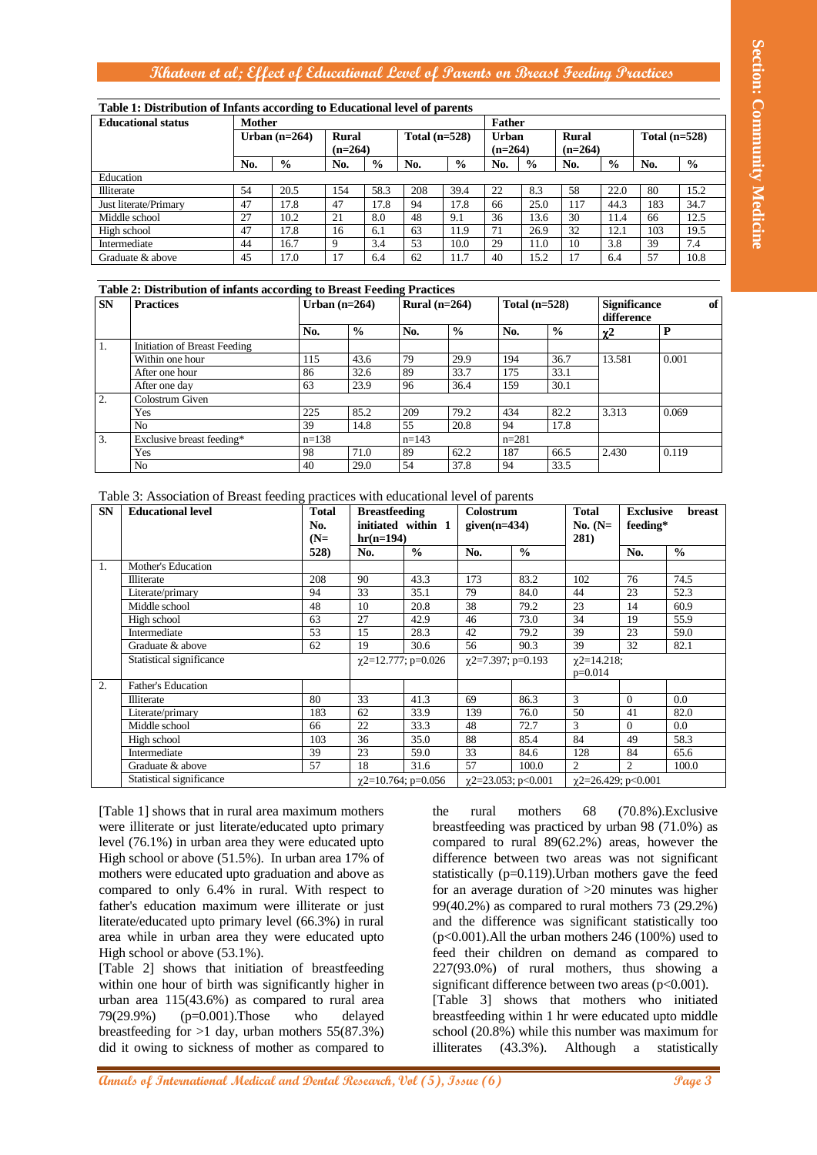# **Khatoon et al; Effect of Educational Level of Parents on Breast Feeding Practices**

| Table 1: Distribution of Infants according to Educational level of parents |                 |               |                           |               |                 |               |                           |               |                           |               |                 |               |  |  |
|----------------------------------------------------------------------------|-----------------|---------------|---------------------------|---------------|-----------------|---------------|---------------------------|---------------|---------------------------|---------------|-----------------|---------------|--|--|
| <b>Educational status</b>                                                  | <b>Mother</b>   |               |                           |               |                 |               |                           | <b>Father</b> |                           |               |                 |               |  |  |
|                                                                            | Urban $(n=264)$ |               | <b>Rural</b><br>$(n=264)$ |               | Total $(n=528)$ |               | <b>Urban</b><br>$(n=264)$ |               | <b>Rural</b><br>$(n=264)$ |               | Total $(n=528)$ |               |  |  |
|                                                                            | No.             | $\frac{6}{9}$ | No.                       | $\frac{6}{9}$ | No.             | $\frac{0}{0}$ | No.                       | $\frac{0}{0}$ | No.                       | $\frac{6}{6}$ | No.             | $\frac{6}{9}$ |  |  |
| Education                                                                  |                 |               |                           |               |                 |               |                           |               |                           |               |                 |               |  |  |
| Illiterate                                                                 | 54              | 20.5          | 154                       | 58.3          | 208             | 39.4          | 22                        | 8.3           | 58                        | 22.0          | 80              | 15.2          |  |  |
| Just literate/Primary                                                      | 47              | 17.8          | 47                        | 17.8          | 94              | 17.8          | 66                        | 25.0          | 117                       | 44.3          | 183             | 34.7          |  |  |
| Middle school                                                              | 27              | 10.2          | 21                        | 8.0           | 48              | 9.1           | 36                        | 13.6          | 30                        | 11.4          | 66              | 12.5          |  |  |
| High school                                                                | 47              | 17.8          | 16                        | 6.1           | 63              | 11.9          | 71                        | 26.9          | 32                        | 12.1          | 103             | 19.5          |  |  |
| Intermediate                                                               | 44              | 16.7          | 9                         | 3.4           | 53              | 10.0          | 29                        | 11.0          | 10                        | 3.8           | 39              | 7.4           |  |  |
| Graduate & above                                                           | 45              | 17.0          | 17                        | 6.4           | 62              | 11.7          | 40                        | 15.2          | 17                        | 6.4           | 57              | 10.8          |  |  |

#### **Table 2: Distribution of infants according to Breast Feeding Practices**

| <b>SN</b>        | <b>Practices</b>             | Urban $(n=264)$ |               | Rural $(n=264)$ |               | Total $(n=528)$ |               | <b>Significance</b><br>difference | of    |
|------------------|------------------------------|-----------------|---------------|-----------------|---------------|-----------------|---------------|-----------------------------------|-------|
|                  |                              | No.             | $\frac{6}{6}$ | No.             | $\frac{6}{6}$ | No.             | $\frac{0}{0}$ | χ2                                | D     |
| 1.               | Initiation of Breast Feeding |                 |               |                 |               |                 |               |                                   |       |
|                  | Within one hour              | 115             | 43.6          | 79              | 29.9          | 194             | 36.7          | 13.581                            | 0.001 |
|                  | After one hour               | 86              | 32.6          | 89              | 33.7          | 175             | 33.1          |                                   |       |
|                  | After one day                | 63              | 23.9          | 96              | 36.4          | 159             | 30.1          |                                   |       |
| $\overline{2}$ . | Colostrum Given              |                 |               |                 |               |                 |               |                                   |       |
|                  | Yes                          | 225             | 85.2          | 209             | 79.2          | 434             | 82.2          | 3.313                             | 0.069 |
|                  | No                           | 39              | 14.8          | 55              | 20.8          | 94              | 17.8          |                                   |       |
| 3.               | Exclusive breast feeding*    | $n=138$         |               | $n=143$         |               |                 | $n = 281$     |                                   |       |
|                  | Yes                          | 98              | 71.0          | 89              | 62.2          | 187             | 66.5          | 2.430                             | 0.119 |
|                  | No                           | 40              | 29.0          | 54              | 37.8          | 94              | 33.5          |                                   |       |

| Mother<br>Urban $(n=264)$<br>$\frac{0}{0}$<br>No.<br>54<br>47<br>27<br>47<br>44<br>45<br>Table 2: Distribution of infants according to Breast Feeding Practices<br>Initiation of Breast Feeding<br>Exclusive breast feeding* | 20.5<br>17.8<br>10.2<br>17.8<br>16.7<br>17.0<br>No.<br>115<br>86<br>63<br>225 | <b>Rural</b><br>No.<br>154<br>47<br>21<br>16<br>9<br>17 | $(n=264)$<br>$\frac{6}{9}$<br>58.3<br>17.8<br>8.0<br>6.1<br>3.4<br>6.4<br>Urban $(n=264)$<br>$\frac{0}{0}$<br>43.6 | Total $(n=528)$<br>No.<br>208<br>94<br>48<br>63<br>53<br>62<br>Rural $(n=264)$<br>No.                                                                                                                                                                               | $\frac{0}{0}$<br>39.4<br>17.8<br>9.1<br>11.9<br>10.0<br>11.7<br>$\frac{6}{6}$                | <b>Father</b><br><b>Urban</b><br>$(n=264)$<br>No.<br>22<br>66<br>36<br>71<br>29<br>40                                                               | $\frac{6}{6}$<br>8.3<br>25.0<br>13.6<br>26.9<br>11.0<br>15.2<br>Total $(n=528)$ | <b>Rural</b><br>$(n=264)$<br>No.<br>58<br>117<br>30<br>32<br>10<br>17                                     | $\frac{0}{0}$<br>22.0<br>44.3<br>11.4<br>12.1<br>3.8<br>6.4<br><b>Significance</b> | No.<br>80<br>183<br>66<br>103<br>39<br>57                                             | Total $(n=528)$<br>$\frac{0}{0}$<br>15.2<br>34.7<br>12.5<br>19.5<br>7.4<br>10.8<br>of                                                                                                                               |
|------------------------------------------------------------------------------------------------------------------------------------------------------------------------------------------------------------------------------|-------------------------------------------------------------------------------|---------------------------------------------------------|--------------------------------------------------------------------------------------------------------------------|---------------------------------------------------------------------------------------------------------------------------------------------------------------------------------------------------------------------------------------------------------------------|----------------------------------------------------------------------------------------------|-----------------------------------------------------------------------------------------------------------------------------------------------------|---------------------------------------------------------------------------------|-----------------------------------------------------------------------------------------------------------|------------------------------------------------------------------------------------|---------------------------------------------------------------------------------------|---------------------------------------------------------------------------------------------------------------------------------------------------------------------------------------------------------------------|
|                                                                                                                                                                                                                              |                                                                               |                                                         |                                                                                                                    |                                                                                                                                                                                                                                                                     |                                                                                              |                                                                                                                                                     |                                                                                 |                                                                                                           |                                                                                    |                                                                                       |                                                                                                                                                                                                                     |
|                                                                                                                                                                                                                              |                                                                               |                                                         |                                                                                                                    |                                                                                                                                                                                                                                                                     |                                                                                              |                                                                                                                                                     |                                                                                 |                                                                                                           |                                                                                    |                                                                                       |                                                                                                                                                                                                                     |
|                                                                                                                                                                                                                              |                                                                               |                                                         |                                                                                                                    |                                                                                                                                                                                                                                                                     |                                                                                              |                                                                                                                                                     |                                                                                 |                                                                                                           |                                                                                    |                                                                                       |                                                                                                                                                                                                                     |
|                                                                                                                                                                                                                              |                                                                               |                                                         |                                                                                                                    |                                                                                                                                                                                                                                                                     |                                                                                              |                                                                                                                                                     |                                                                                 |                                                                                                           |                                                                                    |                                                                                       |                                                                                                                                                                                                                     |
|                                                                                                                                                                                                                              |                                                                               |                                                         |                                                                                                                    |                                                                                                                                                                                                                                                                     |                                                                                              |                                                                                                                                                     |                                                                                 |                                                                                                           |                                                                                    |                                                                                       |                                                                                                                                                                                                                     |
|                                                                                                                                                                                                                              |                                                                               |                                                         |                                                                                                                    |                                                                                                                                                                                                                                                                     |                                                                                              |                                                                                                                                                     |                                                                                 |                                                                                                           |                                                                                    |                                                                                       |                                                                                                                                                                                                                     |
|                                                                                                                                                                                                                              |                                                                               |                                                         |                                                                                                                    |                                                                                                                                                                                                                                                                     |                                                                                              |                                                                                                                                                     |                                                                                 |                                                                                                           |                                                                                    |                                                                                       |                                                                                                                                                                                                                     |
|                                                                                                                                                                                                                              |                                                                               |                                                         |                                                                                                                    |                                                                                                                                                                                                                                                                     |                                                                                              |                                                                                                                                                     |                                                                                 |                                                                                                           |                                                                                    |                                                                                       |                                                                                                                                                                                                                     |
|                                                                                                                                                                                                                              |                                                                               |                                                         |                                                                                                                    |                                                                                                                                                                                                                                                                     |                                                                                              |                                                                                                                                                     |                                                                                 |                                                                                                           |                                                                                    |                                                                                       |                                                                                                                                                                                                                     |
|                                                                                                                                                                                                                              |                                                                               |                                                         |                                                                                                                    |                                                                                                                                                                                                                                                                     |                                                                                              |                                                                                                                                                     |                                                                                 |                                                                                                           |                                                                                    | difference                                                                            |                                                                                                                                                                                                                     |
|                                                                                                                                                                                                                              |                                                                               |                                                         |                                                                                                                    |                                                                                                                                                                                                                                                                     |                                                                                              |                                                                                                                                                     | No.                                                                             | $\frac{0}{0}$                                                                                             | $\chi$ <sup>2</sup>                                                                |                                                                                       | $\mathbf{P}$                                                                                                                                                                                                        |
|                                                                                                                                                                                                                              |                                                                               |                                                         |                                                                                                                    |                                                                                                                                                                                                                                                                     |                                                                                              |                                                                                                                                                     |                                                                                 |                                                                                                           |                                                                                    |                                                                                       |                                                                                                                                                                                                                     |
|                                                                                                                                                                                                                              |                                                                               |                                                         |                                                                                                                    | 79<br>89                                                                                                                                                                                                                                                            | 29.9<br>33.7                                                                                 | 194                                                                                                                                                 |                                                                                 | 36.7                                                                                                      | 13.581                                                                             |                                                                                       | 0.001                                                                                                                                                                                                               |
|                                                                                                                                                                                                                              |                                                                               |                                                         | 32.6<br>23.9                                                                                                       | 96                                                                                                                                                                                                                                                                  | 36.4                                                                                         | 175<br>159                                                                                                                                          |                                                                                 | 33.1<br>30.1                                                                                              |                                                                                    |                                                                                       |                                                                                                                                                                                                                     |
|                                                                                                                                                                                                                              |                                                                               |                                                         |                                                                                                                    |                                                                                                                                                                                                                                                                     |                                                                                              |                                                                                                                                                     |                                                                                 |                                                                                                           |                                                                                    |                                                                                       |                                                                                                                                                                                                                     |
|                                                                                                                                                                                                                              |                                                                               |                                                         | 85.2                                                                                                               | 209                                                                                                                                                                                                                                                                 | 79.2                                                                                         | 434                                                                                                                                                 |                                                                                 | 82.2                                                                                                      | 3.313                                                                              |                                                                                       | 0.069                                                                                                                                                                                                               |
|                                                                                                                                                                                                                              | 39<br>$n=138$                                                                 |                                                         | 14.8                                                                                                               | 55<br>$n=143$                                                                                                                                                                                                                                                       | 20.8                                                                                         | 94                                                                                                                                                  | $n = 281$                                                                       | 17.8                                                                                                      |                                                                                    |                                                                                       |                                                                                                                                                                                                                     |
|                                                                                                                                                                                                                              | 98                                                                            |                                                         | 71.0                                                                                                               | 89                                                                                                                                                                                                                                                                  | 62.2                                                                                         | 187                                                                                                                                                 |                                                                                 | 66.5                                                                                                      | 2.430                                                                              |                                                                                       | 0.119                                                                                                                                                                                                               |
|                                                                                                                                                                                                                              | 40                                                                            |                                                         | 29.0                                                                                                               | 54                                                                                                                                                                                                                                                                  | 37.8                                                                                         | 94                                                                                                                                                  |                                                                                 | 33.5                                                                                                      |                                                                                    |                                                                                       |                                                                                                                                                                                                                     |
|                                                                                                                                                                                                                              |                                                                               |                                                         |                                                                                                                    |                                                                                                                                                                                                                                                                     |                                                                                              |                                                                                                                                                     |                                                                                 |                                                                                                           |                                                                                    |                                                                                       |                                                                                                                                                                                                                     |
| Table 3: Association of Breast feeding practices with educational level of parents                                                                                                                                           | <b>Total</b>                                                                  |                                                         | <b>Breastfeeding</b>                                                                                               |                                                                                                                                                                                                                                                                     |                                                                                              | Colostrum                                                                                                                                           |                                                                                 | <b>Total</b>                                                                                              |                                                                                    | <b>Exclusive</b>                                                                      | breast                                                                                                                                                                                                              |
|                                                                                                                                                                                                                              | No.                                                                           |                                                         |                                                                                                                    | initiated within 1                                                                                                                                                                                                                                                  |                                                                                              | given $(n=434)$                                                                                                                                     |                                                                                 | No. $(N=$                                                                                                 |                                                                                    | feeding*                                                                              |                                                                                                                                                                                                                     |
|                                                                                                                                                                                                                              | $(N=$                                                                         |                                                         |                                                                                                                    |                                                                                                                                                                                                                                                                     |                                                                                              |                                                                                                                                                     |                                                                                 | 281)                                                                                                      |                                                                                    |                                                                                       |                                                                                                                                                                                                                     |
|                                                                                                                                                                                                                              |                                                                               |                                                         | No.                                                                                                                |                                                                                                                                                                                                                                                                     |                                                                                              |                                                                                                                                                     |                                                                                 |                                                                                                           |                                                                                    |                                                                                       | $\frac{0}{0}$                                                                                                                                                                                                       |
|                                                                                                                                                                                                                              |                                                                               |                                                         |                                                                                                                    |                                                                                                                                                                                                                                                                     |                                                                                              |                                                                                                                                                     |                                                                                 |                                                                                                           |                                                                                    |                                                                                       | 74.5                                                                                                                                                                                                                |
|                                                                                                                                                                                                                              | 94                                                                            |                                                         | 33                                                                                                                 |                                                                                                                                                                                                                                                                     |                                                                                              |                                                                                                                                                     |                                                                                 | 44                                                                                                        |                                                                                    |                                                                                       | 52.3                                                                                                                                                                                                                |
|                                                                                                                                                                                                                              | 48                                                                            |                                                         | 10                                                                                                                 | 20.8                                                                                                                                                                                                                                                                | 38                                                                                           |                                                                                                                                                     | 79.2                                                                            | 23                                                                                                        |                                                                                    |                                                                                       | 60.9                                                                                                                                                                                                                |
|                                                                                                                                                                                                                              | 63                                                                            |                                                         | 27                                                                                                                 | 42.9                                                                                                                                                                                                                                                                | 46                                                                                           |                                                                                                                                                     | 73.0                                                                            | 34                                                                                                        |                                                                                    |                                                                                       | 55.9                                                                                                                                                                                                                |
|                                                                                                                                                                                                                              |                                                                               |                                                         |                                                                                                                    |                                                                                                                                                                                                                                                                     |                                                                                              |                                                                                                                                                     |                                                                                 |                                                                                                           |                                                                                    |                                                                                       | 59.0<br>82.1                                                                                                                                                                                                        |
|                                                                                                                                                                                                                              |                                                                               |                                                         |                                                                                                                    |                                                                                                                                                                                                                                                                     |                                                                                              |                                                                                                                                                     |                                                                                 |                                                                                                           |                                                                                    |                                                                                       |                                                                                                                                                                                                                     |
|                                                                                                                                                                                                                              |                                                                               |                                                         |                                                                                                                    |                                                                                                                                                                                                                                                                     |                                                                                              |                                                                                                                                                     |                                                                                 |                                                                                                           |                                                                                    |                                                                                       |                                                                                                                                                                                                                     |
|                                                                                                                                                                                                                              |                                                                               |                                                         |                                                                                                                    |                                                                                                                                                                                                                                                                     |                                                                                              |                                                                                                                                                     |                                                                                 |                                                                                                           |                                                                                    |                                                                                       | 0.0                                                                                                                                                                                                                 |
|                                                                                                                                                                                                                              |                                                                               |                                                         |                                                                                                                    |                                                                                                                                                                                                                                                                     |                                                                                              |                                                                                                                                                     |                                                                                 |                                                                                                           |                                                                                    |                                                                                       | 82.0                                                                                                                                                                                                                |
|                                                                                                                                                                                                                              | 66                                                                            |                                                         | 22                                                                                                                 | 33.3                                                                                                                                                                                                                                                                | 48                                                                                           |                                                                                                                                                     | 72.7                                                                            | 3                                                                                                         |                                                                                    |                                                                                       | 0.0                                                                                                                                                                                                                 |
|                                                                                                                                                                                                                              | 103                                                                           |                                                         | 36                                                                                                                 | 35.0                                                                                                                                                                                                                                                                | $88\,$                                                                                       |                                                                                                                                                     | 85.4                                                                            | 84                                                                                                        |                                                                                    |                                                                                       | 58.3                                                                                                                                                                                                                |
|                                                                                                                                                                                                                              |                                                                               |                                                         |                                                                                                                    |                                                                                                                                                                                                                                                                     |                                                                                              |                                                                                                                                                     |                                                                                 |                                                                                                           |                                                                                    |                                                                                       | 65.6<br>100.0                                                                                                                                                                                                       |
|                                                                                                                                                                                                                              |                                                                               |                                                         |                                                                                                                    |                                                                                                                                                                                                                                                                     |                                                                                              |                                                                                                                                                     |                                                                                 |                                                                                                           |                                                                                    |                                                                                       |                                                                                                                                                                                                                     |
|                                                                                                                                                                                                                              |                                                                               | 53<br>62<br>80<br>39<br>57                              | 528)<br>208<br>183                                                                                                 | 90<br>15<br>19<br>33<br>62<br>23<br>18<br>[Table 1] shows that in rural area maximum mothers<br>were illiterate or just literate/educated upto primary<br>level (76.1%) in urban area they were educated upto<br>High school or above (51.5%). In urban area 17% of | $hr(n=194)$<br>$\frac{0}{0}$<br>43.3<br>35.1<br>28.3<br>30.6<br>41.3<br>33.9<br>59.0<br>31.6 | 79<br>42<br>56<br>$\chi$ 2=12.777; p=0.026<br>69<br>33<br>57<br>$\chi$ 2=10.764; p=0.056<br>the<br>difference between two areas was not significant | No.<br>173<br>139<br>rural                                                      | $\frac{0}{0}$<br>83.2<br>84.0<br>79.2<br>90.3<br>$\chi$ 2=7.397; p=0.193<br>86.3<br>76.0<br>84.6<br>100.0 | 102<br>39<br>39<br>3<br>50<br>128<br>2<br>$\chi$ 2=23.053; p<0.001<br>mothers      | $\chi$ 2=14.218;<br>$p=0.014$<br>68<br>compared to rural 89(62.2%) areas, however the | No.<br>76<br>23<br>14<br>19<br>23<br>32<br>$\overline{0}$<br>41<br>$\mathbf{0}$<br>49<br>84<br>$\overline{c}$<br>χ2=26.429; p<0.001<br>$(70.8\%)$ . Exclusive<br>breastfeeding was practiced by urban 98 (71.0%) as |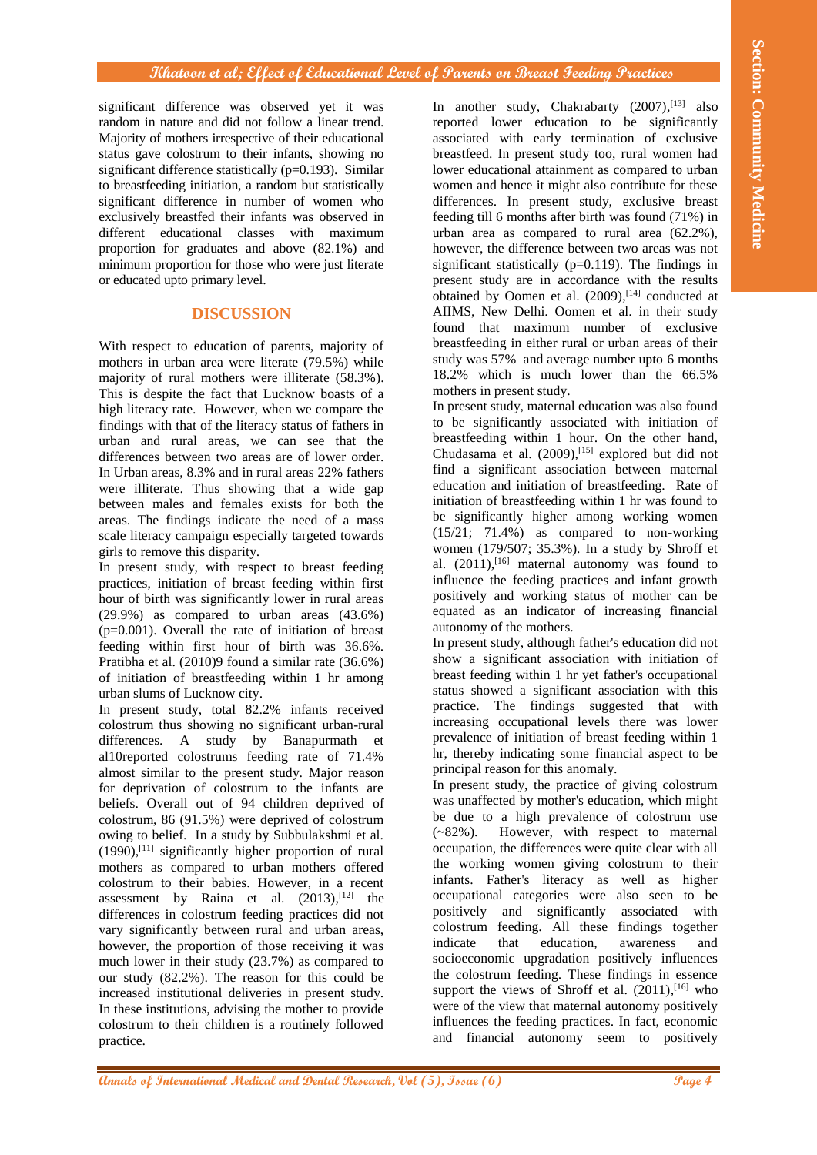significant difference was observed yet it was random in nature and did not follow a linear trend. Majority of mothers irrespective of their educational status gave colostrum to their infants, showing no significant difference statistically (p=0.193). Similar to breastfeeding initiation, a random but statistically significant difference in number of women who exclusively breastfed their infants was observed in different educational classes with maximum proportion for graduates and above (82.1%) and minimum proportion for those who were just literate or educated upto primary level.

# **DISCUSSION**

With respect to education of parents, majority of mothers in urban area were literate (79.5%) while majority of rural mothers were illiterate (58.3%). This is despite the fact that Lucknow boasts of a high literacy rate. However, when we compare the findings with that of the literacy status of fathers in urban and rural areas, we can see that the differences between two areas are of lower order. In Urban areas, 8.3% and in rural areas 22% fathers were illiterate. Thus showing that a wide gap between males and females exists for both the areas. The findings indicate the need of a mass scale literacy campaign especially targeted towards girls to remove this disparity.

In present study, with respect to breast feeding practices, initiation of breast feeding within first hour of birth was significantly lower in rural areas (29.9%) as compared to urban areas (43.6%)  $(p=0.001)$ . Overall the rate of initiation of breast feeding within first hour of birth was 36.6%. Pratibha et al. (2010)9 found a similar rate (36.6%) of initiation of breastfeeding within 1 hr among urban slums of Lucknow city.

**Analogo et die General and the section of the section of International Medical and Dental Analogo et al. The main is not the section of the section of the section of the section of the section of the section of the secti** In present study, total 82.2% infants received colostrum thus showing no significant urban-rural differences. A study by Banapurmath et al10reported colostrums feeding rate of 71.4% almost similar to the present study. Major reason for deprivation of colostrum to the infants are beliefs. Overall out of 94 children deprived of colostrum, 86 (91.5%) were deprived of colostrum owing to belief. In a study by Subbulakshmi et al. (1990), [11] significantly higher proportion of rural mothers as compared to urban mothers offered colostrum to their babies. However, in a recent assessment by Raina et al.  $(2013),$ <sup>[12]</sup> the differences in colostrum feeding practices did not vary significantly between rural and urban areas, however, the proportion of those receiving it was much lower in their study (23.7%) as compared to our study (82.2%). The reason for this could be increased institutional deliveries in present study. In these institutions, advising the mother to provide colostrum to their children is a routinely followed practice.

In another study, Chakrabarty (2007), [13] also reported lower education to be significantly associated with early termination of exclusive breastfeed. In present study too, rural women had lower educational attainment as compared to urban women and hence it might also contribute for these differences. In present study, exclusive breast feeding till 6 months after birth was found (71%) in urban area as compared to rural area (62.2%), however, the difference between two areas was not significant statistically (p=0.119). The findings in present study are in accordance with the results obtained by Oomen et al.  $(2009)$ ,  $[14]$  conducted at AIIMS, New Delhi. Oomen et al. in their study found that maximum number of exclusive breastfeeding in either rural or urban areas of their study was 57% and average number upto 6 months 18.2% which is much lower than the 66.5% mothers in present study.

In present study, maternal education was also found to be significantly associated with initiation of breastfeeding within 1 hour. On the other hand, Chudasama et al. (2009), [15] explored but did not find a significant association between maternal education and initiation of breastfeeding. Rate of initiation of breastfeeding within 1 hr was found to be significantly higher among working women (15/21; 71.4%) as compared to non-working women (179/507; 35.3%). In a study by Shroff et al. (2011), [16] maternal autonomy was found to influence the feeding practices and infant growth positively and working status of mother can be equated as an indicator of increasing financial autonomy of the mothers.

In present study, although father's education did not show a significant association with initiation of breast feeding within 1 hr yet father's occupational status showed a significant association with this practice. The findings suggested that with increasing occupational levels there was lower prevalence of initiation of breast feeding within 1 hr, thereby indicating some financial aspect to be principal reason for this anomaly.

In present study, the practice of giving colostrum was unaffected by mother's education, which might be due to a high prevalence of colostrum use (~82%). However, with respect to maternal occupation, the differences were quite clear with all the working women giving colostrum to their infants. Father's literacy as well as higher occupational categories were also seen to be positively and significantly associated with colostrum feeding. All these findings together indicate that education, awareness and socioeconomic upgradation positively influences the colostrum feeding. These findings in essence support the views of Shroff et al.  $(2011)$ , <sup>[16]</sup> who were of the view that maternal autonomy positively influences the feeding practices. In fact, economic and financial autonomy seem to positively